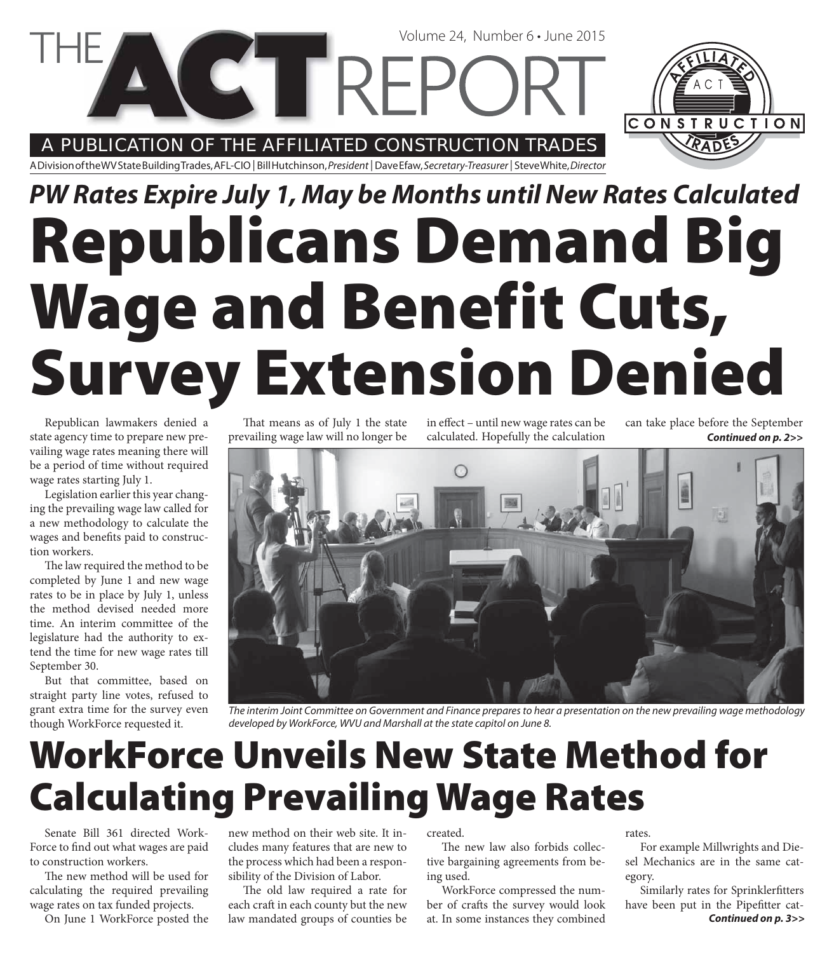A PUBLICATION OF THE AFFILIATED CONSTRUCTION TRADES

**CETTREI** 

A Division of the WV State Building Trades, AFL-CIO | Bill Hutchinson, President | Dave Efaw, Secretary-Treasurer | Steve White, Director

# **Republicans Demand Big Wage and Benefit Cuts, Survey Extension Denied** *PW Rates Expire July 1, May be Months until New Rates Calculated*

Republican lawmakers denied a state agency time to prepare new prevailing wage rates meaning there will be a period of time without required wage rates starting July 1.

Legislation earlier this year changing the prevailing wage law called for a new methodology to calculate the wages and benefits paid to construction workers.

The law required the method to be completed by June 1 and new wage rates to be in place by July 1, unless the method devised needed more time. An interim committee of the legislature had the authority to extend the time for new wage rates till September 30.

But that committee, based on straight party line votes, refused to grant extra time for the survey even though WorkForce requested it.

That means as of July 1 the state prevailing wage law will no longer be in effect – until new wage rates can be calculated. Hopefully the calculation

Volume 24, Number 6 • June 2015

can take place before the September *Continued on p. 2>>*

CONSTRUCTION



The interim Joint Committee on Government and Finance prepares to hear a presentation on the new prevailing wage methodology developed by WorkForce, WVU and Marshall at the state capitol on June 8.

## **WorkForce Unveils New State Method for Calculating Prevailing Wage Rates**

Senate Bill 361 directed Work-Force to find out what wages are paid to construction workers.

The new method will be used for calculating the required prevailing wage rates on tax funded projects.

On June 1 WorkForce posted the

new method on their web site. It includes many features that are new to the process which had been a responsibility of the Division of Labor.

The old law required a rate for each craft in each county but the new law mandated groups of counties be created.

The new law also forbids collective bargaining agreements from being used.

WorkForce compressed the number of crafts the survey would look at. In some instances they combined

rates.

For example Millwrights and Diesel Mechanics are in the same category.

Similarly rates for Sprinklerfitters have been put in the Pipefitter cat-*Continued on p. 3>>*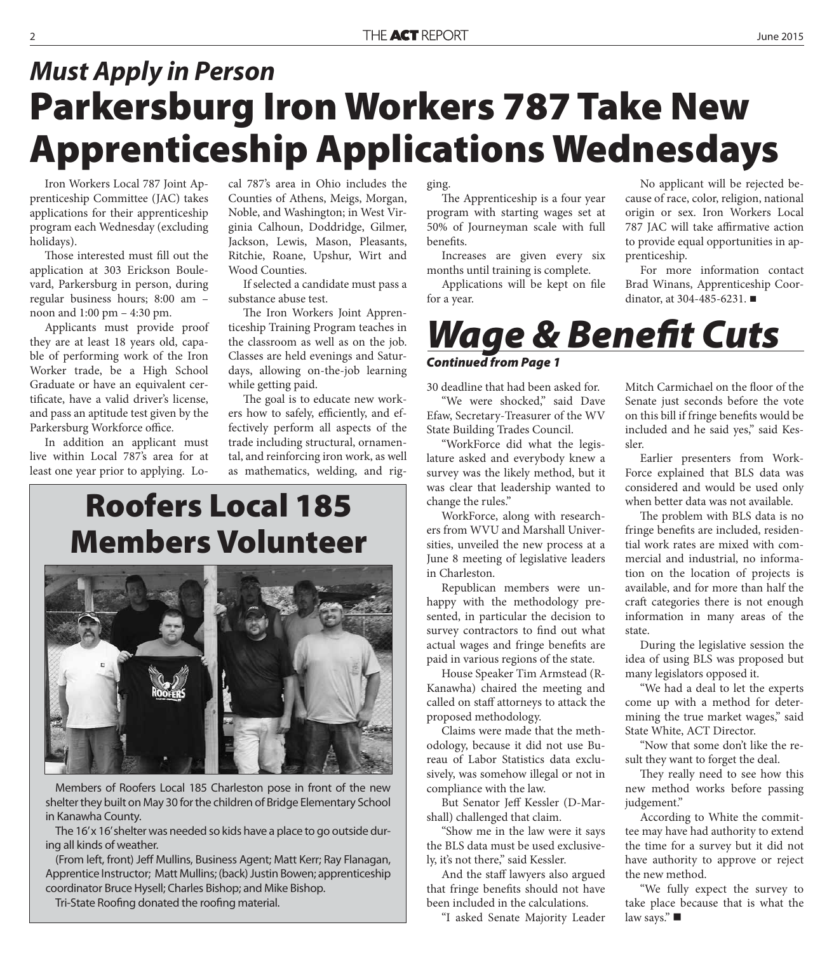## **Parkersburg Iron Workers 787 Take New Apprenticeship Applications Wednesdays** *Must Apply in Person*

Iron Workers Local 787 Joint Apprenticeship Committee (JAC) takes applications for their apprenticeship program each Wednesday (excluding holidays).

Those interested must fill out the application at 303 Erickson Boulevard, Parkersburg in person, during regular business hours; 8:00 am – noon and 1:00 pm – 4:30 pm.

Applicants must provide proof they are at least 18 years old, capable of performing work of the Iron Worker trade, be a High School Graduate or have an equivalent certificate, have a valid driver's license, and pass an aptitude test given by the Parkersburg Workforce office.

In addition an applicant must live within Local 787's area for at least one year prior to applying. Local 787's area in Ohio includes the Counties of Athens, Meigs, Morgan, Noble, and Washington; in West Virginia Calhoun, Doddridge, Gilmer, Jackson, Lewis, Mason, Pleasants, Ritchie, Roane, Upshur, Wirt and Wood Counties.

If selected a candidate must pass a substance abuse test.

The Iron Workers Joint Apprenticeship Training Program teaches in the classroom as well as on the job. Classes are held evenings and Saturdays, allowing on-the-job learning while getting paid.

The goal is to educate new workers how to safely, efficiently, and effectively perform all aspects of the trade including structural, ornamental, and reinforcing iron work, as well as mathematics, welding, and rig-

#### **Roofers Local 185 Members Volunteer**



Members of Roofers Local 185 Charleston pose in front of the new shelter they built on May 30 for the children of Bridge Elementary School in Kanawha County.

The 16' x 16' shelter was needed so kids have a place to go outside during all kinds of weather.

(From left, front) Jeff Mullins, Business Agent; Matt Kerr; Ray Flanagan, Apprentice Instructor; Matt Mullins; (back) Justin Bowen; apprenticeship coordinator Bruce Hysell; Charles Bishop; and Mike Bishop.

Tri-State Roofing donated the roofing material.

ging.

The Apprenticeship is a four year program with starting wages set at 50% of Journeyman scale with full benefits.

Increases are given every six months until training is complete.

Applications will be kept on file for a year.

No applicant will be rejected because of race, color, religion, national origin or sex. Iron Workers Local 787 JAC will take affirmative action to provide equal opportunities in apprenticeship.

For more information contact Brad Winans, Apprenticeship Coordinator, at 304-485-6231.

#### *Wage & Benefi t Cuts Continued from Page 1*

30 deadline that had been asked for.

"We were shocked," said Dave Efaw, Secretary-Treasurer of the WV State Building Trades Council.

"WorkForce did what the legislature asked and everybody knew a survey was the likely method, but it was clear that leadership wanted to change the rules."

WorkForce, along with researchers from WVU and Marshall Universities, unveiled the new process at a June 8 meeting of legislative leaders in Charleston.

Republican members were unhappy with the methodology presented, in particular the decision to survey contractors to find out what actual wages and fringe benefits are paid in various regions of the state.

House Speaker Tim Armstead (R-Kanawha) chaired the meeting and called on staff attorneys to attack the proposed methodology.

Claims were made that the methodology, because it did not use Bureau of Labor Statistics data exclusively, was somehow illegal or not in compliance with the law.

But Senator Jeff Kessler (D-Marshall) challenged that claim.

"Show me in the law were it says the BLS data must be used exclusively, it's not there," said Kessler.

And the staff lawyers also argued that fringe benefits should not have been included in the calculations.

"I asked Senate Majority Leader

Mitch Carmichael on the floor of the Senate just seconds before the vote on this bill if fringe benefits would be included and he said yes," said Kessler.

Earlier presenters from Work-Force explained that BLS data was considered and would be used only when better data was not available.

The problem with BLS data is no fringe benefits are included, residential work rates are mixed with commercial and industrial, no information on the location of projects is available, and for more than half the craft categories there is not enough information in many areas of the state.

During the legislative session the idea of using BLS was proposed but many legislators opposed it.

"We had a deal to let the experts come up with a method for determining the true market wages," said State White, ACT Director.

"Now that some don't like the result they want to forget the deal.

They really need to see how this new method works before passing judgement."

According to White the committee may have had authority to extend the time for a survey but it did not have authority to approve or reject the new method.

"We fully expect the survey to take place because that is what the law says."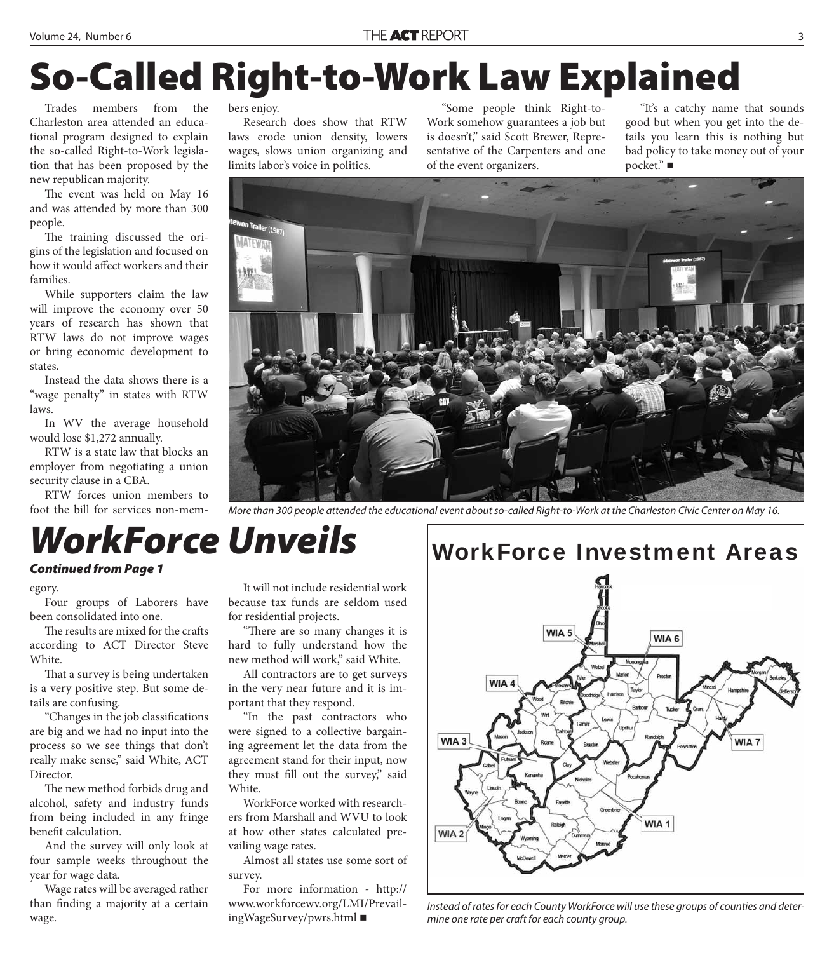## **So-Called Right-to-Work Law Explained**

Trades members from the Charleston area attended an educational program designed to explain the so-called Right-to-Work legislation that has been proposed by the new republican majority.

The event was held on May 16 and was attended by more than 300 people.

The training discussed the origins of the legislation and focused on how it would affect workers and their families.

While supporters claim the law will improve the economy over 50 years of research has shown that RTW laws do not improve wages or bring economic development to states.

Instead the data shows there is a "wage penalty" in states with RTW laws.

In WV the average household would lose \$1,272 annually.

RTW is a state law that blocks an employer from negotiating a union security clause in a CBA.

RTW forces union members to foot the bill for services non-members enjoy.

Research does show that RTW laws erode union density, lowers wages, slows union organizing and limits labor's voice in politics.

"Some people think Right-to-Work somehow guarantees a job but is doesn't," said Scott Brewer, Representative of the Carpenters and one of the event organizers.

"It's a catchy name that sounds good but when you get into the details you learn this is nothing but bad policy to take money out of your pocket." ■



More than 300 people attended the educational event about so-called Right-to-Work at the Charleston Civic Center on May 16.

#### *WorkForce Unveils Continued from Page 1*

#### egory.

Four groups of Laborers have been consolidated into one.

The results are mixed for the crafts according to ACT Director Steve White.

That a survey is being undertaken is a very positive step. But some details are confusing.

"Changes in the job classifications are big and we had no input into the process so we see things that don't really make sense," said White, ACT Director.

The new method forbids drug and alcohol, safety and industry funds from being included in any fringe benefit calculation.

And the survey will only look at four sample weeks throughout the year for wage data.

Wage rates will be averaged rather than finding a majority at a certain wage.

It will not include residential work because tax funds are seldom used for residential projects.

"There are so many changes it is hard to fully understand how the new method will work," said White.

All contractors are to get surveys in the very near future and it is important that they respond.

"In the past contractors who were signed to a collective bargaining agreement let the data from the agreement stand for their input, now they must fill out the survey," said White.

WorkForce worked with researchers from Marshall and WVU to look at how other states calculated prevailing wage rates.

Almost all states use some sort of survey.

For more information - http:// www.workforcewv.org/LMI/PrevailingWageSurvey/pwrs.html



Instead of rates for each County WorkForce will use these groups of counties and determine one rate per craft for each county group.